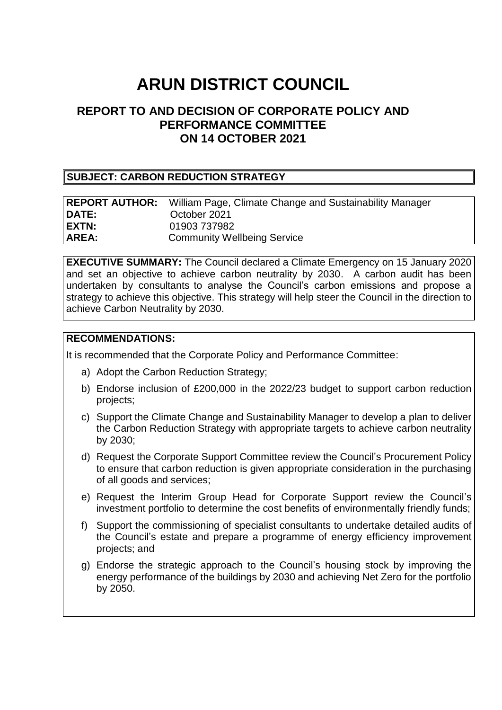# **ARUN DISTRICT COUNCIL**

# **REPORT TO AND DECISION OF CORPORATE POLICY AND PERFORMANCE COMMITTEE ON 14 OCTOBER 2021**

#### **SUBJECT: CARBON REDUCTION STRATEGY**

|              | <b>REPORT AUTHOR:</b> William Page, Climate Change and Sustainability Manager |
|--------------|-------------------------------------------------------------------------------|
| <b>DATE:</b> | October 2021                                                                  |
| EXTN:        | 01903 737982                                                                  |
| AREA:        | <b>Community Wellbeing Service</b>                                            |

**EXECUTIVE SUMMARY:** The Council declared a Climate Emergency on 15 January 2020 and set an objective to achieve carbon neutrality by 2030. A carbon audit has been undertaken by consultants to analyse the Council's carbon emissions and propose a strategy to achieve this objective. This strategy will help steer the Council in the direction to achieve Carbon Neutrality by 2030.

#### **RECOMMENDATIONS:**

It is recommended that the Corporate Policy and Performance Committee:

- a) Adopt the Carbon Reduction Strategy;
- b) Endorse inclusion of £200,000 in the 2022/23 budget to support carbon reduction projects;
- c) Support the Climate Change and Sustainability Manager to develop a plan to deliver the Carbon Reduction Strategy with appropriate targets to achieve carbon neutrality by 2030;
- d) Request the Corporate Support Committee review the Council's Procurement Policy to ensure that carbon reduction is given appropriate consideration in the purchasing of all goods and services;
- e) Request the Interim Group Head for Corporate Support review the Council's investment portfolio to determine the cost benefits of environmentally friendly funds;
- f) Support the commissioning of specialist consultants to undertake detailed audits of the Council's estate and prepare a programme of energy efficiency improvement projects; and
- g) Endorse the strategic approach to the Council's housing stock by improving the energy performance of the buildings by 2030 and achieving Net Zero for the portfolio by 2050.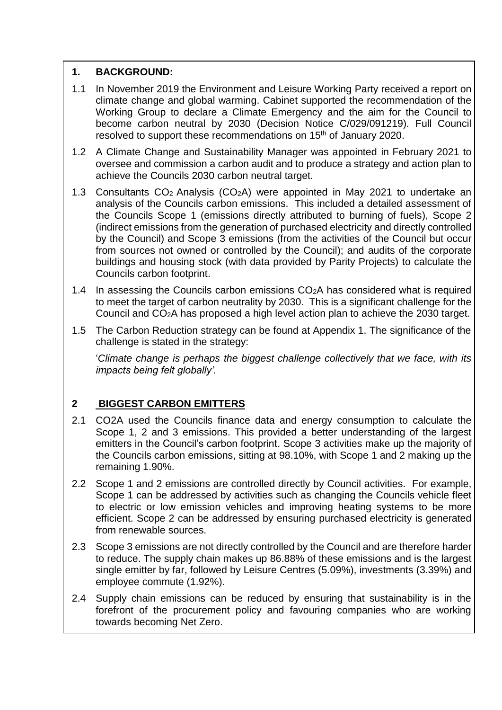#### **1. BACKGROUND:**

- 1.1 In November 2019 the Environment and Leisure Working Party received a report on climate change and global warming. Cabinet supported the recommendation of the Working Group to declare a Climate Emergency and the aim for the Council to become carbon neutral by 2030 (Decision Notice C/029/091219). Full Council resolved to support these recommendations on 15<sup>th</sup> of January 2020.
- 1.2 A Climate Change and Sustainability Manager was appointed in February 2021 to oversee and commission a carbon audit and to produce a strategy and action plan to achieve the Councils 2030 carbon neutral target.
- 1.3 Consultants CO<sup>2</sup> Analysis (CO2A) were appointed in May 2021 to undertake an analysis of the Councils carbon emissions. This included a detailed assessment of the Councils Scope 1 (emissions directly attributed to burning of fuels), Scope 2 (indirect emissions from the generation of purchased electricity and directly controlled by the Council) and Scope 3 emissions (from the activities of the Council but occur from sources not owned or controlled by the Council); and audits of the corporate buildings and housing stock (with data provided by Parity Projects) to calculate the Councils carbon footprint.
- 1.4 In assessing the Councils carbon emissions  $CO<sub>2</sub>A$  has considered what is required to meet the target of carbon neutrality by 2030. This is a significant challenge for the Council and CO2A has proposed a high level action plan to achieve the 2030 target.
- 1.5 The Carbon Reduction strategy can be found at Appendix 1. The significance of the challenge is stated in the strategy:

'*Climate change is perhaps the biggest challenge collectively that we face, with its impacts being felt globally'.*

## **2 BIGGEST CARBON EMITTERS**

- 2.1 CO2A used the Councils finance data and energy consumption to calculate the Scope 1, 2 and 3 emissions. This provided a better understanding of the largest emitters in the Council's carbon footprint. Scope 3 activities make up the majority of the Councils carbon emissions, sitting at 98.10%, with Scope 1 and 2 making up the remaining 1.90%.
- 2.2 Scope 1 and 2 emissions are controlled directly by Council activities. For example, Scope 1 can be addressed by activities such as changing the Councils vehicle fleet to electric or low emission vehicles and improving heating systems to be more efficient. Scope 2 can be addressed by ensuring purchased electricity is generated from renewable sources.
- 2.3 Scope 3 emissions are not directly controlled by the Council and are therefore harder to reduce. The supply chain makes up 86.88% of these emissions and is the largest single emitter by far, followed by Leisure Centres (5.09%), investments (3.39%) and employee commute (1.92%).
- 2.4 Supply chain emissions can be reduced by ensuring that sustainability is in the forefront of the procurement policy and favouring companies who are working towards becoming Net Zero.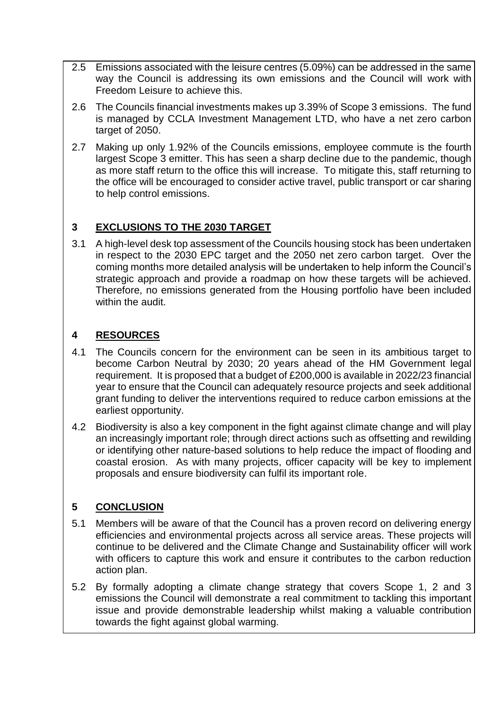- 2.5 Emissions associated with the leisure centres (5.09%) can be addressed in the same way the Council is addressing its own emissions and the Council will work with Freedom Leisure to achieve this.
- 2.6 The Councils financial investments makes up 3.39% of Scope 3 emissions. The fund is managed by CCLA Investment Management LTD, who have a net zero carbon target of 2050.
- 2.7 Making up only 1.92% of the Councils emissions, employee commute is the fourth largest Scope 3 emitter. This has seen a sharp decline due to the pandemic, though as more staff return to the office this will increase. To mitigate this, staff returning to the office will be encouraged to consider active travel, public transport or car sharing to help control emissions.

#### **3 EXCLUSIONS TO THE 2030 TARGET**

3.1 A high-level desk top assessment of the Councils housing stock has been undertaken in respect to the 2030 EPC target and the 2050 net zero carbon target. Over the coming months more detailed analysis will be undertaken to help inform the Council's strategic approach and provide a roadmap on how these targets will be achieved. Therefore, no emissions generated from the Housing portfolio have been included within the audit.

## **4 RESOURCES**

- 4.1 The Councils concern for the environment can be seen in its ambitious target to become Carbon Neutral by 2030; 20 years ahead of the HM Government legal requirement. It is proposed that a budget of £200,000 is available in 2022/23 financial year to ensure that the Council can adequately resource projects and seek additional grant funding to deliver the interventions required to reduce carbon emissions at the earliest opportunity.
- 4.2 Biodiversity is also a key component in the fight against climate change and will play an increasingly important role; through direct actions such as offsetting and rewilding or identifying other nature-based solutions to help reduce the impact of flooding and coastal erosion. As with many projects, officer capacity will be key to implement proposals and ensure biodiversity can fulfil its important role.

# **5 CONCLUSION**

- 5.1 Members will be aware of that the Council has a proven record on delivering energy efficiencies and environmental projects across all service areas. These projects will continue to be delivered and the Climate Change and Sustainability officer will work with officers to capture this work and ensure it contributes to the carbon reduction action plan.
- 5.2 By formally adopting a climate change strategy that covers Scope 1, 2 and 3 emissions the Council will demonstrate a real commitment to tackling this important issue and provide demonstrable leadership whilst making a valuable contribution towards the fight against global warming.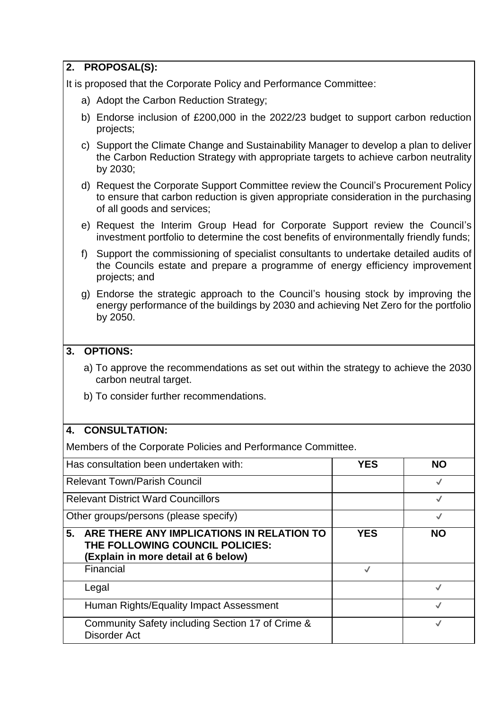|                                                           | 2. PROPOSAL(S):                                                                                                                                                                                          |              |              |  |  |
|-----------------------------------------------------------|----------------------------------------------------------------------------------------------------------------------------------------------------------------------------------------------------------|--------------|--------------|--|--|
|                                                           | It is proposed that the Corporate Policy and Performance Committee:                                                                                                                                      |              |              |  |  |
|                                                           | a) Adopt the Carbon Reduction Strategy;                                                                                                                                                                  |              |              |  |  |
|                                                           | b) Endorse inclusion of £200,000 in the 2022/23 budget to support carbon reduction<br>projects;                                                                                                          |              |              |  |  |
|                                                           | c) Support the Climate Change and Sustainability Manager to develop a plan to deliver<br>the Carbon Reduction Strategy with appropriate targets to achieve carbon neutrality<br>by 2030;                 |              |              |  |  |
|                                                           | d) Request the Corporate Support Committee review the Council's Procurement Policy<br>to ensure that carbon reduction is given appropriate consideration in the purchasing<br>of all goods and services; |              |              |  |  |
|                                                           | e) Request the Interim Group Head for Corporate Support review the Council's<br>investment portfolio to determine the cost benefits of environmentally friendly funds;                                   |              |              |  |  |
| f)                                                        | Support the commissioning of specialist consultants to undertake detailed audits of<br>the Councils estate and prepare a programme of energy efficiency improvement<br>projects; and                     |              |              |  |  |
|                                                           | g) Endorse the strategic approach to the Council's housing stock by improving the<br>energy performance of the buildings by 2030 and achieving Net Zero for the portfolio<br>by 2050.                    |              |              |  |  |
| 3.                                                        | <b>OPTIONS:</b>                                                                                                                                                                                          |              |              |  |  |
|                                                           | a) To approve the recommendations as set out within the strategy to achieve the 2030<br>carbon neutral target.                                                                                           |              |              |  |  |
|                                                           | b) To consider further recommendations.                                                                                                                                                                  |              |              |  |  |
| 4.                                                        | <b>CONSULTATION:</b>                                                                                                                                                                                     |              |              |  |  |
|                                                           | Members of the Corporate Policies and Performance Committee.                                                                                                                                             |              |              |  |  |
|                                                           | Has consultation been undertaken with:                                                                                                                                                                   | <b>YES</b>   | <b>NO</b>    |  |  |
|                                                           | <b>Relevant Town/Parish Council</b>                                                                                                                                                                      |              | $\checkmark$ |  |  |
| <b>Relevant District Ward Councillors</b><br>$\checkmark$ |                                                                                                                                                                                                          |              |              |  |  |
|                                                           | Other groups/persons (please specify)                                                                                                                                                                    |              | $\checkmark$ |  |  |
| 5.                                                        | ARE THERE ANY IMPLICATIONS IN RELATION TO<br>THE FOLLOWING COUNCIL POLICIES:<br>(Explain in more detail at 6 below)                                                                                      | <b>YES</b>   | <b>NO</b>    |  |  |
|                                                           | Financial                                                                                                                                                                                                | $\checkmark$ |              |  |  |
|                                                           | Legal                                                                                                                                                                                                    |              | $\checkmark$ |  |  |
|                                                           | Human Rights/Equality Impact Assessment                                                                                                                                                                  |              | $\checkmark$ |  |  |
|                                                           | Community Safety including Section 17 of Crime &<br><b>Disorder Act</b>                                                                                                                                  |              | $\checkmark$ |  |  |